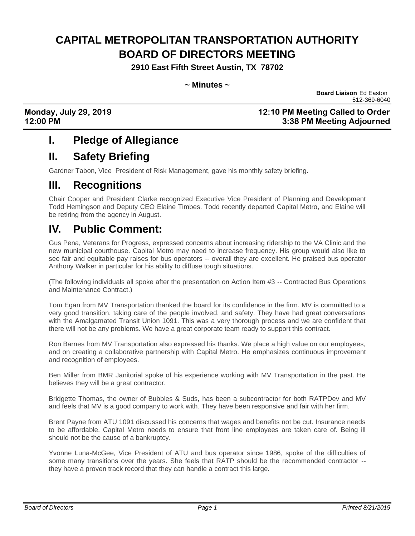# **CAPITAL METROPOLITAN TRANSPORTATION AUTHORITY BOARD OF DIRECTORS MEETING**

**2910 East Fifth Street Austin, TX 78702**

**~ Minutes ~**

**Board Liaison** Ed Easton 512-369-6040

**Monday, July 29, 2019 12:10 PM Meeting Called to Order 12:00 PM 3:38 PM Meeting Adjourned**

### **I. Pledge of Allegiance**

### **II. Safety Briefing**

Gardner Tabon, Vice President of Risk Management, gave his monthly safety briefing.

#### **III. Recognitions**

Chair Cooper and President Clarke recognized Executive Vice President of Planning and Development Todd Hemingson and Deputy CEO Elaine Timbes. Todd recently departed Capital Metro, and Elaine will be retiring from the agency in August.

## **IV. Public Comment:**

Gus Pena, Veterans for Progress, expressed concerns about increasing ridership to the VA Clinic and the new municipal courthouse. Capital Metro may need to increase frequency. His group would also like to see fair and equitable pay raises for bus operators -- overall they are excellent. He praised bus operator Anthony Walker in particular for his ability to diffuse tough situations.

(The following individuals all spoke after the presentation on Action Item #3 -- Contracted Bus Operations and Maintenance Contract.)

Tom Egan from MV Transportation thanked the board for its confidence in the firm. MV is committed to a very good transition, taking care of the people involved, and safety. They have had great conversations with the Amalgamated Transit Union 1091. This was a very thorough process and we are confident that there will not be any problems. We have a great corporate team ready to support this contract.

Ron Barnes from MV Transportation also expressed his thanks. We place a high value on our employees, and on creating a collaborative partnership with Capital Metro. He emphasizes continuous improvement and recognition of employees.

Ben Miller from BMR Janitorial spoke of his experience working with MV Transportation in the past. He believes they will be a great contractor.

Bridgette Thomas, the owner of Bubbles & Suds, has been a subcontractor for both RATPDev and MV and feels that MV is a good company to work with. They have been responsive and fair with her firm.

Brent Payne from ATU 1091 discussed his concerns that wages and benefits not be cut. Insurance needs to be affordable. Capital Metro needs to ensure that front line employees are taken care of. Being ill should not be the cause of a bankruptcy.

Yvonne Luna-McGee, Vice President of ATU and bus operator since 1986, spoke of the difficulties of some many transitions over the years. She feels that RATP should be the recommended contractor -they have a proven track record that they can handle a contract this large.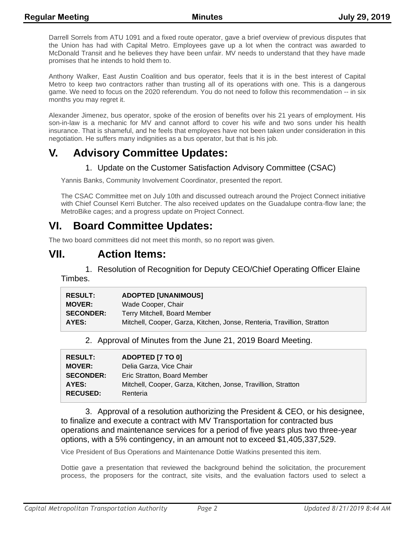Darrell Sorrels from ATU 1091 and a fixed route operator, gave a brief overview of previous disputes that the Union has had with Capital Metro. Employees gave up a lot when the contract was awarded to McDonald Transit and he believes they have been unfair. MV needs to understand that they have made promises that he intends to hold them to.

Anthony Walker, East Austin Coalition and bus operator, feels that it is in the best interest of Capital Metro to keep two contractors rather than trusting all of its operations with one. This is a dangerous game. We need to focus on the 2020 referendum. You do not need to follow this recommendation -- in six months you may regret it.

Alexander Jimenez, bus operator, spoke of the erosion of benefits over his 21 years of employment. His son-in-law is a mechanic for MV and cannot afford to cover his wife and two sons under his health insurance. That is shameful, and he feels that employees have not been taken under consideration in this negotiation. He suffers many indignities as a bus operator, but that is his job.

# **V. Advisory Committee Updates:**

#### 1. Update on the Customer Satisfaction Advisory Committee (CSAC)

Yannis Banks, Community Involvement Coordinator, presented the report.

The CSAC Committee met on July 10th and discussed outreach around the Project Connect initiative with Chief Counsel Kerri Butcher. The also received updates on the Guadalupe contra-flow lane; the MetroBike cages; and a progress update on Project Connect.

### **VI. Board Committee Updates:**

The two board committees did not meet this month, so no report was given.

## **VII. Action Items:**

1. Resolution of Recognition for Deputy CEO/Chief Operating Officer Elaine Timbes.

| <b>RESULT:</b>   | <b>ADOPTED [UNANIMOUS]</b>                                              |
|------------------|-------------------------------------------------------------------------|
| <b>MOVER:</b>    | Wade Cooper, Chair                                                      |
| <b>SECONDER:</b> | Terry Mitchell, Board Member                                            |
| AYES:            | Mitchell, Cooper, Garza, Kitchen, Jonse, Renteria, Travillion, Stratton |

2. Approval of Minutes from the June 21, 2019 Board Meeting.

| <b>RESULT:</b>   | ADOPTED [7 TO 0]                                              |
|------------------|---------------------------------------------------------------|
| <b>MOVER:</b>    | Delia Garza, Vice Chair                                       |
| <b>SECONDER:</b> | Eric Stratton, Board Member                                   |
| AYES:            | Mitchell, Cooper, Garza, Kitchen, Jonse, Travillion, Stratton |
| <b>RECUSED:</b>  | Renteria                                                      |

3. Approval of a resolution authorizing the President & CEO, or his designee, to finalize and execute a contract with MV Transportation for contracted bus operations and maintenance services for a period of five years plus two three-year options, with a 5% contingency, in an amount not to exceed \$1,405,337,529.

Vice President of Bus Operations and Maintenance Dottie Watkins presented this item.

Dottie gave a presentation that reviewed the background behind the solicitation, the procurement process, the proposers for the contract, site visits, and the evaluation factors used to select a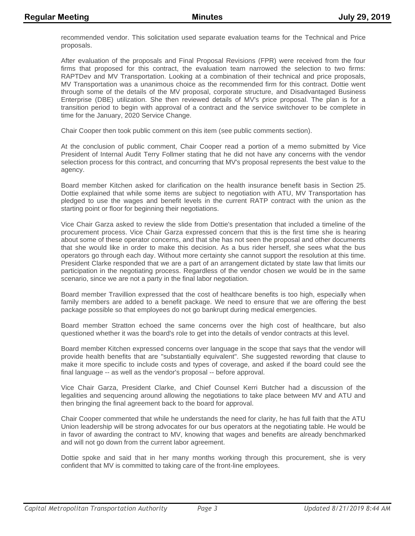recommended vendor. This solicitation used separate evaluation teams for the Technical and Price proposals.

After evaluation of the proposals and Final Proposal Revisions (FPR) were received from the four firms that proposed for this contract, the evaluation team narrowed the selection to two firms: RAPTDev and MV Transportation. Looking at a combination of their technical and price proposals, MV Transportation was a unanimous choice as the recommended firm for this contract. Dottie went through some of the details of the MV proposal, corporate structure, and Disadvantaged Business Enterprise (DBE) utilization. She then reviewed details of MV's price proposal. The plan is for a transition period to begin with approval of a contract and the service switchover to be complete in time for the January, 2020 Service Change.

Chair Cooper then took public comment on this item (see public comments section).

At the conclusion of public comment, Chair Cooper read a portion of a memo submitted by Vice President of Internal Audit Terry Follmer stating that he did not have any concerns with the vendor selection process for this contract, and concurring that MV's proposal represents the best value to the agency.

Board member Kitchen asked for clarification on the health insurance benefit basis in Section 25. Dottie explained that while some items are subject to negotiation with ATU, MV Transportation has pledged to use the wages and benefit levels in the current RATP contract with the union as the starting point or floor for beginning their negotiations.

Vice Chair Garza asked to review the slide from Dottie's presentation that included a timeline of the procurement process. Vice Chair Garza expressed concern that this is the first time she is hearing about some of these operator concerns, and that she has not seen the proposal and other documents that she would like in order to make this decision. As a bus rider herself, she sees what the bus operators go through each day. Without more certainty she cannot support the resolution at this time. President Clarke responded that we are a part of an arrangement dictated by state law that limits our participation in the negotiating process. Regardless of the vendor chosen we would be in the same scenario, since we are not a party in the final labor negotiation.

Board member Travillion expressed that the cost of healthcare benefits is too high, especially when family members are added to a benefit package. We need to ensure that we are offering the best package possible so that employees do not go bankrupt during medical emergencies.

Board member Stratton echoed the same concerns over the high cost of healthcare, but also questioned whether it was the board's role to get into the details of vendor contracts at this level.

Board member Kitchen expressed concerns over language in the scope that says that the vendor will provide health benefits that are "substantially equivalent". She suggested rewording that clause to make it more specific to include costs and types of coverage, and asked if the board could see the final language -- as well as the vendor's proposal -- before approval.

Vice Chair Garza, President Clarke, and Chief Counsel Kerri Butcher had a discussion of the legalities and sequencing around allowing the negotiations to take place between MV and ATU and then bringing the final agreement back to the board for approval.

Chair Cooper commented that while he understands the need for clarity, he has full faith that the ATU Union leadership will be strong advocates for our bus operators at the negotiating table. He would be in favor of awarding the contract to MV, knowing that wages and benefits are already benchmarked and will not go down from the current labor agreement.

Dottie spoke and said that in her many months working through this procurement, she is very confident that MV is committed to taking care of the front-line employees.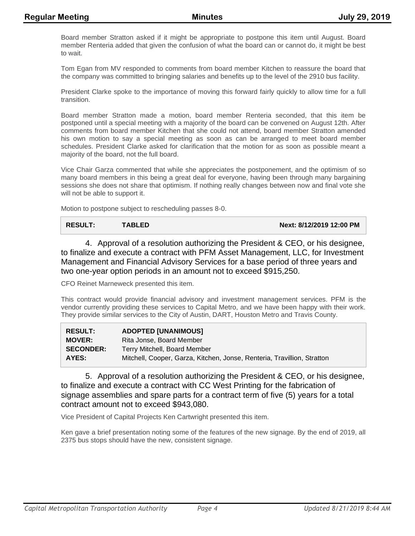Board member Stratton asked if it might be appropriate to postpone this item until August. Board member Renteria added that given the confusion of what the board can or cannot do, it might be best to wait.

Tom Egan from MV responded to comments from board member Kitchen to reassure the board that the company was committed to bringing salaries and benefits up to the level of the 2910 bus facility.

President Clarke spoke to the importance of moving this forward fairly quickly to allow time for a full transition.

Board member Stratton made a motion, board member Renteria seconded, that this item be postponed until a special meeting with a majority of the board can be convened on August 12th. After comments from board member Kitchen that she could not attend, board member Stratton amended his own motion to say a special meeting as soon as can be arranged to meet board member schedules. President Clarke asked for clarification that the motion for as soon as possible meant a majority of the board, not the full board.

Vice Chair Garza commented that while she appreciates the postponement, and the optimism of so many board members in this being a great deal for everyone, having been through many bargaining sessions she does not share that optimism. If nothing really changes between now and final vote she will not be able to support it.

Motion to postpone subject to rescheduling passes 8-0.

4. Approval of a resolution authorizing the President & CEO, or his designee, to finalize and execute a contract with PFM Asset Management, LLC, for Investment Management and Financial Advisory Services for a base period of three years and two one-year option periods in an amount not to exceed \$915,250.

CFO Reinet Marneweck presented this item.

This contract would provide financial advisory and investment management services. PFM is the vendor currently providing these services to Capital Metro, and we have been happy with their work. They provide similar services to the City of Austin, DART, Houston Metro and Travis County.

| <b>RESULT:</b>   | <b>ADOPTED [UNANIMOUS]</b>                                              |
|------------------|-------------------------------------------------------------------------|
| <b>MOVER:</b>    | Rita Jonse, Board Member                                                |
| <b>SECONDER:</b> | Terry Mitchell, Board Member                                            |
| AYES:            | Mitchell, Cooper, Garza, Kitchen, Jonse, Renteria, Travillion, Stratton |

5. Approval of a resolution authorizing the President & CEO, or his designee, to finalize and execute a contract with CC West Printing for the fabrication of signage assemblies and spare parts for a contract term of five (5) years for a total contract amount not to exceed \$943,080.

Vice President of Capital Projects Ken Cartwright presented this item.

Ken gave a brief presentation noting some of the features of the new signage. By the end of 2019, all 2375 bus stops should have the new, consistent signage.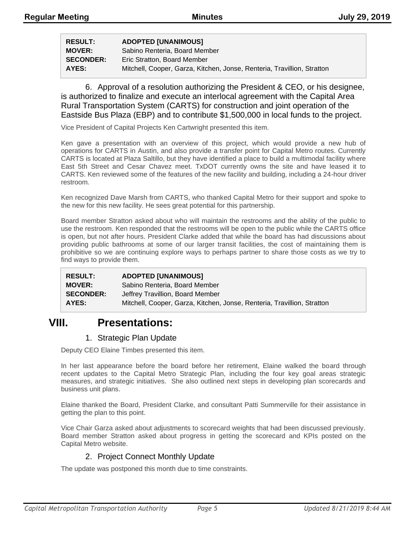| <b>RESULT:</b>   | <b>ADOPTED [UNANIMOUS]</b>                                              |
|------------------|-------------------------------------------------------------------------|
| <b>MOVER:</b>    | Sabino Renteria, Board Member                                           |
| <b>SECONDER:</b> | Eric Stratton, Board Member                                             |
| AYES:            | Mitchell, Cooper, Garza, Kitchen, Jonse, Renteria, Travillion, Stratton |

6. Approval of a resolution authorizing the President & CEO, or his designee, is authorized to finalize and execute an interlocal agreement with the Capital Area Rural Transportation System (CARTS) for construction and joint operation of the Eastside Bus Plaza (EBP) and to contribute \$1,500,000 in local funds to the project.

Vice President of Capital Projects Ken Cartwright presented this item.

Ken gave a presentation with an overview of this project, which would provide a new hub of operations for CARTS in Austin, and also provide a transfer point for Capital Metro routes. Currently CARTS is located at Plaza Saltillo, but they have identified a place to build a multimodal facility where East 5th Street and Cesar Chavez meet. TxDOT currently owns the site and have leased it to CARTS. Ken reviewed some of the features of the new facility and building, including a 24-hour driver restroom.

Ken recognized Dave Marsh from CARTS, who thanked Capital Metro for their support and spoke to the new for this new facility. He sees great potential for this partnership.

Board member Stratton asked about who will maintain the restrooms and the ability of the public to use the restroom. Ken responded that the restrooms will be open to the public while the CARTS office is open, but not after hours. President Clarke added that while the board has had discussions about providing public bathrooms at some of our larger transit facilities, the cost of maintaining them is prohibitive so we are continuing explore ways to perhaps partner to share those costs as we try to find ways to provide them.

| <b>RESULT:</b>   | <b>ADOPTED [UNANIMOUS]</b>                                              |
|------------------|-------------------------------------------------------------------------|
| <b>MOVER:</b>    | Sabino Renteria, Board Member                                           |
| <b>SECONDER:</b> | Jeffrey Travillion, Board Member                                        |
| AYES:            | Mitchell, Cooper, Garza, Kitchen, Jonse, Renteria, Travillion, Stratton |

### **VIII. Presentations:**

#### 1. Strategic Plan Update

Deputy CEO Elaine Timbes presented this item.

In her last appearance before the board before her retirement, Elaine walked the board through recent updates to the Capital Metro Strategic Plan, including the four key goal areas strategic measures, and strategic initiatives. She also outlined next steps in developing plan scorecards and business unit plans.

Elaine thanked the Board, President Clarke, and consultant Patti Summerville for their assistance in getting the plan to this point.

Vice Chair Garza asked about adjustments to scorecard weights that had been discussed previously. Board member Stratton asked about progress in getting the scorecard and KPIs posted on the Capital Metro website.

#### 2. Project Connect Monthly Update

The update was postponed this month due to time constraints.